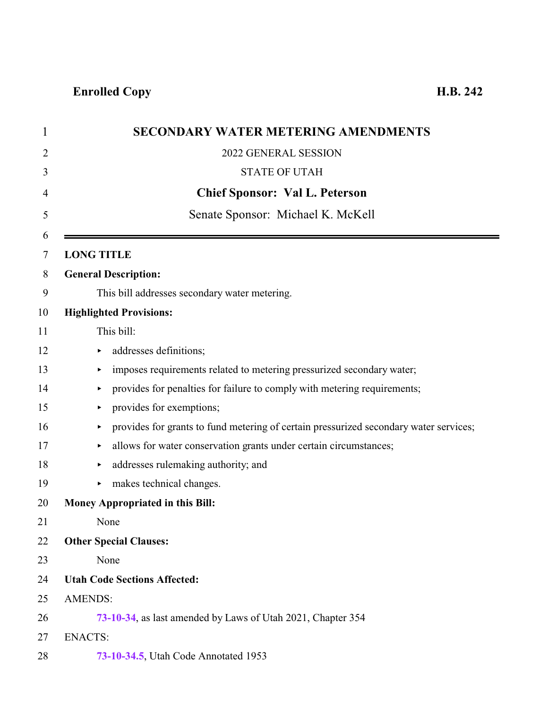| $\mathbf 1$    |                   | <b>SECONDARY WATER METERING AMENDMENTS</b>                                            |
|----------------|-------------------|---------------------------------------------------------------------------------------|
| $\overline{2}$ |                   | 2022 GENERAL SESSION                                                                  |
| 3              |                   | <b>STATE OF UTAH</b>                                                                  |
| 4              |                   | <b>Chief Sponsor: Val L. Peterson</b>                                                 |
| 5              |                   | Senate Sponsor: Michael K. McKell                                                     |
| 6<br>7         | <b>LONG TITLE</b> |                                                                                       |
| 8              |                   | <b>General Description:</b>                                                           |
| 9              |                   | This bill addresses secondary water metering.                                         |
| 10             |                   | <b>Highlighted Provisions:</b>                                                        |
| 11             |                   | This bill:                                                                            |
| 12             | ▶                 | addresses definitions;                                                                |
| 13             | ▶                 | imposes requirements related to metering pressurized secondary water;                 |
| 14             |                   | provides for penalties for failure to comply with metering requirements;              |
| 15             | ▶                 | provides for exemptions;                                                              |
| 16             | ▶                 | provides for grants to fund metering of certain pressurized secondary water services; |
| 17             | ▶                 | allows for water conservation grants under certain circumstances;                     |
| 18             |                   | addresses rulemaking authority; and                                                   |
| 19             | ▶                 | makes technical changes.                                                              |
| 20             |                   | <b>Money Appropriated in this Bill:</b>                                               |
| 21             |                   | None                                                                                  |
| 22             |                   | <b>Other Special Clauses:</b>                                                         |
| 23             |                   | None                                                                                  |
| 24             |                   | <b>Utah Code Sections Affected:</b>                                                   |
| 25             | <b>AMENDS:</b>    |                                                                                       |
| 26             |                   | 73-10-34, as last amended by Laws of Utah 2021, Chapter 354                           |
| 27             | <b>ENACTS:</b>    |                                                                                       |
| 28             |                   | 73-10-34.5, Utah Code Annotated 1953                                                  |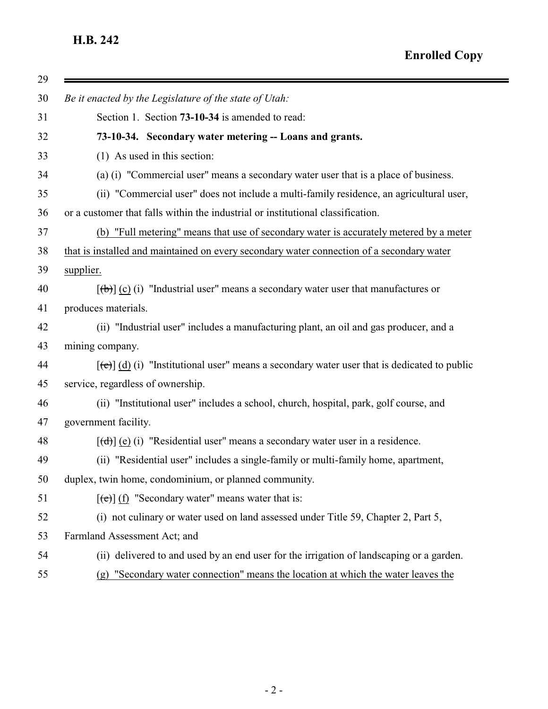<span id="page-1-0"></span>

| 29 |                                                                                                              |
|----|--------------------------------------------------------------------------------------------------------------|
| 30 | Be it enacted by the Legislature of the state of Utah:                                                       |
| 31 | Section 1. Section 73-10-34 is amended to read:                                                              |
| 32 | 73-10-34. Secondary water metering -- Loans and grants.                                                      |
| 33 | $(1)$ As used in this section:                                                                               |
| 34 | (a) (i) "Commercial user" means a secondary water user that is a place of business.                          |
| 35 | (ii) "Commercial user" does not include a multi-family residence, an agricultural user,                      |
| 36 | or a customer that falls within the industrial or institutional classification.                              |
| 37 | (b) "Full metering" means that use of secondary water is accurately metered by a meter                       |
| 38 | that is installed and maintained on every secondary water connection of a secondary water                    |
| 39 | supplier.                                                                                                    |
| 40 | $[\phi]$ (c) (i) "Industrial user" means a secondary water user that manufactures or                         |
| 41 | produces materials.                                                                                          |
| 42 | (ii) "Industrial user" includes a manufacturing plant, an oil and gas producer, and a                        |
| 43 | mining company.                                                                                              |
| 44 | $[\text{e}(\text{e})]$ (d) (i) "Institutional user" means a secondary water user that is dedicated to public |
| 45 | service, regardless of ownership.                                                                            |
| 46 | (ii) "Institutional user" includes a school, church, hospital, park, golf course, and                        |
| 47 | government facility.                                                                                         |
| 48 | $[\text{d} \cdot \text{d}]$ (e) (i) "Residential user" means a secondary water user in a residence.          |
| 49 | (ii) "Residential user" includes a single-family or multi-family home, apartment,                            |
| 50 | duplex, twin home, condominium, or planned community.                                                        |
| 51 | $[\text{e}(\text{e})]$ (f) "Secondary water" means water that is:                                            |
| 52 | (i) not culinary or water used on land assessed under Title 59, Chapter 2, Part 5,                           |
| 53 | Farmland Assessment Act; and                                                                                 |
| 54 | (ii) delivered to and used by an end user for the irrigation of landscaping or a garden.                     |
| 55 | "Secondary water connection" means the location at which the water leaves the<br>(g)                         |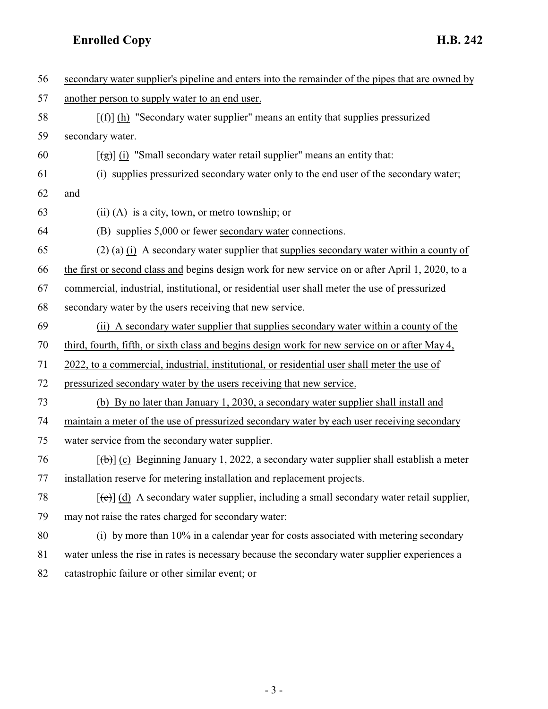| 56 | secondary water supplier's pipeline and enters into the remainder of the pipes that are owned by            |
|----|-------------------------------------------------------------------------------------------------------------|
| 57 | another person to supply water to an end user.                                                              |
| 58 | $[f(f)]$ (h) "Secondary water supplier" means an entity that supplies pressurized                           |
| 59 | secondary water.                                                                                            |
| 60 | $\left[\frac{1}{2}\right]$ (i) "Small secondary water retail supplier" means an entity that:                |
| 61 | (i) supplies pressurized secondary water only to the end user of the secondary water;                       |
| 62 | and                                                                                                         |
| 63 | $(ii)$ (A) is a city, town, or metro township; or                                                           |
| 64 | (B) supplies 5,000 or fewer secondary water connections.                                                    |
| 65 | $(2)$ (a) (i) A secondary water supplier that supplies secondary water within a county of                   |
| 66 | the first or second class and begins design work for new service on or after April 1, 2020, to a            |
| 67 | commercial, industrial, institutional, or residential user shall meter the use of pressurized               |
| 68 | secondary water by the users receiving that new service.                                                    |
| 69 | (ii) A secondary water supplier that supplies secondary water within a county of the                        |
| 70 | third, fourth, fifth, or sixth class and begins design work for new service on or after May 4,              |
| 71 | 2022, to a commercial, industrial, institutional, or residential user shall meter the use of                |
| 72 | pressurized secondary water by the users receiving that new service.                                        |
| 73 | (b) By no later than January 1, 2030, a secondary water supplier shall install and                          |
| 74 | maintain a meter of the use of pressurized secondary water by each user receiving secondary                 |
| 75 | water service from the secondary water supplier.                                                            |
| 76 | $[\theta]$ (c) Beginning January 1, 2022, a secondary water supplier shall establish a meter                |
| 77 | installation reserve for metering installation and replacement projects.                                    |
| 78 | $[\text{e}^{-\text{e}}]$ (d) A secondary water supplier, including a small secondary water retail supplier, |
| 79 | may not raise the rates charged for secondary water:                                                        |
| 80 | (i) by more than 10% in a calendar year for costs associated with metering secondary                        |
| 81 | water unless the rise in rates is necessary because the secondary water supplier experiences a              |
| 82 | catastrophic failure or other similar event; or                                                             |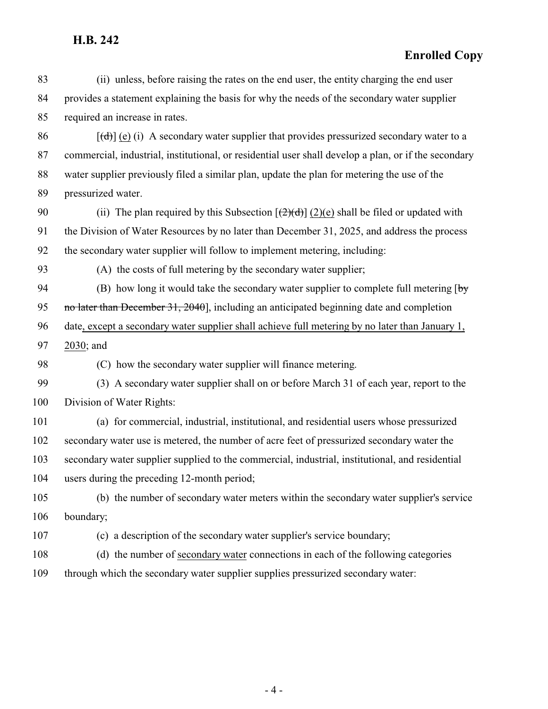| 83  | (ii) unless, before raising the rates on the end user, the entity charging the end user                         |
|-----|-----------------------------------------------------------------------------------------------------------------|
| 84  | provides a statement explaining the basis for why the needs of the secondary water supplier                     |
| 85  | required an increase in rates.                                                                                  |
| 86  | $[\text{(\text{d})}]$ (e) (i) A secondary water supplier that provides pressurized secondary water to a         |
| 87  | commercial, industrial, institutional, or residential user shall develop a plan, or if the secondary            |
| 88  | water supplier previously filed a similar plan, update the plan for metering the use of the                     |
| 89  | pressurized water.                                                                                              |
| 90  | (ii) The plan required by this Subsection $[\frac{2}{(2)(d)}](2)(e)$ shall be filed or updated with             |
| 91  | the Division of Water Resources by no later than December 31, 2025, and address the process                     |
| 92  | the secondary water supplier will follow to implement metering, including:                                      |
| 93  | (A) the costs of full metering by the secondary water supplier;                                                 |
| 94  | (B) how long it would take the secondary water supplier to complete full metering $\lceil \frac{b_y}{c} \rceil$ |
| 95  | no later than December 31, 2040], including an anticipated beginning date and completion                        |
| 96  | date, except a secondary water supplier shall achieve full metering by no later than January 1,                 |
| 97  | 2030; and                                                                                                       |
| 98  | (C) how the secondary water supplier will finance metering.                                                     |
| 99  | (3) A secondary water supplier shall on or before March 31 of each year, report to the                          |
| 100 | Division of Water Rights:                                                                                       |
| 101 | (a) for commercial, industrial, institutional, and residential users whose pressurized                          |
| 102 | secondary water use is metered, the number of acre feet of pressurized secondary water the                      |
| 103 | secondary water supplier supplied to the commercial, industrial, institutional, and residential                 |
| 104 | users during the preceding 12-month period;                                                                     |
| 105 | (b) the number of secondary water meters within the secondary water supplier's service                          |
| 106 | boundary;                                                                                                       |
| 107 | (c) a description of the secondary water supplier's service boundary;                                           |
| 108 | (d) the number of secondary water connections in each of the following categories                               |
| 109 | through which the secondary water supplier supplies pressurized secondary water:                                |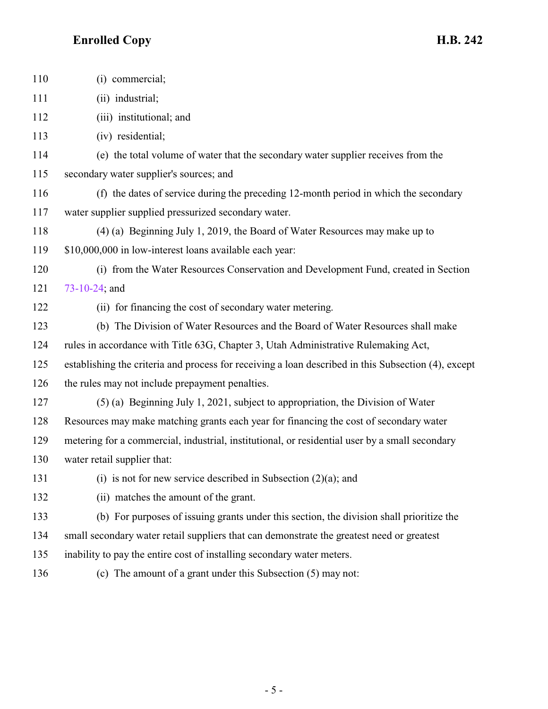| 110 | (i) commercial;                                                                                     |
|-----|-----------------------------------------------------------------------------------------------------|
| 111 | (ii) industrial;                                                                                    |
| 112 | (iii) institutional; and                                                                            |
| 113 | (iv) residential;                                                                                   |
| 114 | (e) the total volume of water that the secondary water supplier receives from the                   |
| 115 | secondary water supplier's sources; and                                                             |
| 116 | (f) the dates of service during the preceding 12-month period in which the secondary                |
| 117 | water supplier supplied pressurized secondary water.                                                |
| 118 | (4) (a) Beginning July 1, 2019, the Board of Water Resources may make up to                         |
| 119 | \$10,000,000 in low-interest loans available each year:                                             |
| 120 | (i) from the Water Resources Conservation and Development Fund, created in Section                  |
| 121 | $73 - 10 - 24$ ; and                                                                                |
| 122 | (ii) for financing the cost of secondary water metering.                                            |
| 123 | (b) The Division of Water Resources and the Board of Water Resources shall make                     |
| 124 | rules in accordance with Title 63G, Chapter 3, Utah Administrative Rulemaking Act,                  |
| 125 | establishing the criteria and process for receiving a loan described in this Subsection (4), except |
| 126 | the rules may not include prepayment penalties.                                                     |
| 127 | $(5)$ (a) Beginning July 1, 2021, subject to appropriation, the Division of Water                   |
| 128 | Resources may make matching grants each year for financing the cost of secondary water              |
| 129 | metering for a commercial, industrial, institutional, or residential user by a small secondary      |
| 130 | water retail supplier that:                                                                         |
| 131 | (i) is not for new service described in Subsection $(2)(a)$ ; and                                   |
| 132 | (ii) matches the amount of the grant.                                                               |
| 133 | (b) For purposes of issuing grants under this section, the division shall prioritize the            |
| 134 | small secondary water retail suppliers that can demonstrate the greatest need or greatest           |
| 135 | inability to pay the entire cost of installing secondary water meters.                              |
| 136 | (c) The amount of a grant under this Subsection (5) may not:                                        |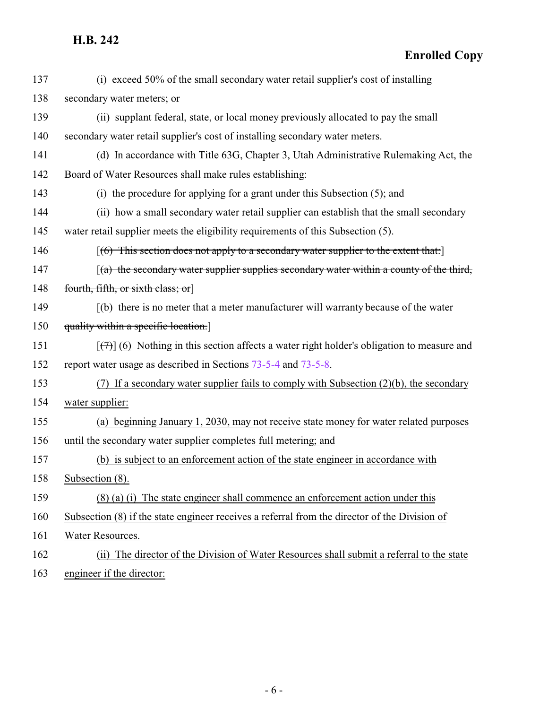**Enrolled Copy**

| 137 | (i) exceed 50% of the small secondary water retail supplier's cost of installing                          |
|-----|-----------------------------------------------------------------------------------------------------------|
| 138 | secondary water meters; or                                                                                |
| 139 | (ii) supplant federal, state, or local money previously allocated to pay the small                        |
| 140 | secondary water retail supplier's cost of installing secondary water meters.                              |
| 141 | (d) In accordance with Title 63G, Chapter 3, Utah Administrative Rulemaking Act, the                      |
| 142 | Board of Water Resources shall make rules establishing:                                                   |
| 143 | (i) the procedure for applying for a grant under this Subsection (5); and                                 |
| 144 | (ii) how a small secondary water retail supplier can establish that the small secondary                   |
| 145 | water retail supplier meets the eligibility requirements of this Subsection (5).                          |
| 146 | $[(6)$ This section does not apply to a secondary water supplier to the extent that:                      |
| 147 | $(a)$ the secondary water supplier supplies secondary water within a county of the third,                 |
| 148 | fourth, fifth, or sixth class; or                                                                         |
| 149 | $\left[\frac{b}{b}\right]$ there is no meter that a meter manufacturer will warranty because of the water |
| 150 | quality within a specific location.]                                                                      |
| 151 | $[\overline{(+)}]$ (6) Nothing in this section affects a water right holder's obligation to measure and   |
| 152 | report water usage as described in Sections 73-5-4 and 73-5-8.                                            |
| 153 | (7) If a secondary water supplier fails to comply with Subsection $(2)(b)$ , the secondary                |
| 154 | water supplier:                                                                                           |
| 155 | (a) beginning January 1, 2030, may not receive state money for water related purposes                     |
| 156 | until the secondary water supplier completes full metering; and                                           |
| 157 | (b) is subject to an enforcement action of the state engineer in accordance with                          |
| 158 | Subsection (8).                                                                                           |
| 159 | (8) (a) (i) The state engineer shall commence an enforcement action under this                            |
| 160 | Subsection (8) if the state engineer receives a referral from the director of the Division of             |
| 161 | Water Resources.                                                                                          |
| 162 | The director of the Division of Water Resources shall submit a referral to the state<br>(ii)              |

163 engineer if the director: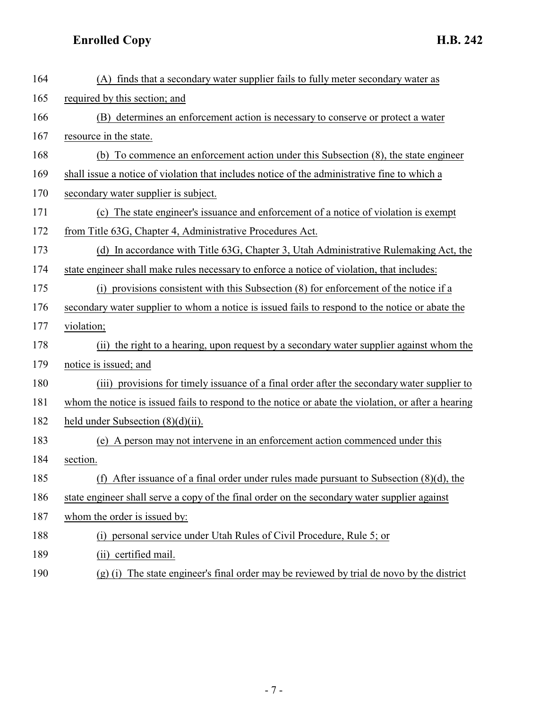| 164 | (A) finds that a secondary water supplier fails to fully meter secondary water as                   |
|-----|-----------------------------------------------------------------------------------------------------|
| 165 | required by this section; and                                                                       |
| 166 | (B) determines an enforcement action is necessary to conserve or protect a water                    |
| 167 | resource in the state.                                                                              |
| 168 | (b) To commence an enforcement action under this Subsection (8), the state engineer                 |
| 169 | shall issue a notice of violation that includes notice of the administrative fine to which a        |
| 170 | secondary water supplier is subject.                                                                |
| 171 | (c) The state engineer's issuance and enforcement of a notice of violation is exempt                |
| 172 | from Title 63G, Chapter 4, Administrative Procedures Act.                                           |
| 173 | (d) In accordance with Title 63G, Chapter 3, Utah Administrative Rulemaking Act, the                |
| 174 | state engineer shall make rules necessary to enforce a notice of violation, that includes:          |
| 175 | (i) provisions consistent with this Subsection (8) for enforcement of the notice if a               |
| 176 | secondary water supplier to whom a notice is issued fails to respond to the notice or abate the     |
| 177 | violation;                                                                                          |
| 178 | (ii) the right to a hearing, upon request by a secondary water supplier against whom the            |
| 179 | notice is issued; and                                                                               |
| 180 | (iii) provisions for timely issuance of a final order after the secondary water supplier to         |
| 181 | whom the notice is issued fails to respond to the notice or abate the violation, or after a hearing |
| 182 | held under Subsection $(8)(d)(ii)$ .                                                                |
| 183 | (e) A person may not intervene in an enforcement action commenced under this                        |
| 184 | section.                                                                                            |
| 185 | After issuance of a final order under rules made pursuant to Subsection $(8)(d)$ , the<br>(f)       |
| 186 | state engineer shall serve a copy of the final order on the secondary water supplier against        |
| 187 | whom the order is issued by:                                                                        |
| 188 | (i) personal service under Utah Rules of Civil Procedure, Rule 5; or                                |
| 189 | (ii) certified mail.                                                                                |
| 190 | $(g)$ (i) The state engineer's final order may be reviewed by trial de novo by the district         |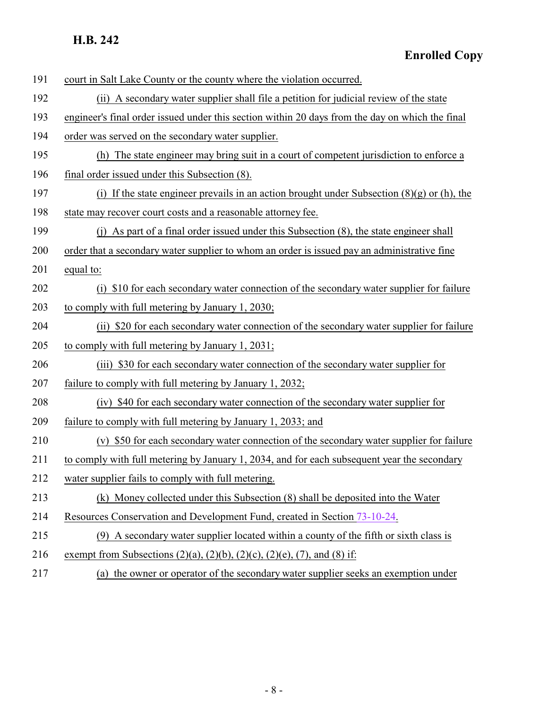| 191 | court in Salt Lake County or the county where the violation occurred.                           |
|-----|-------------------------------------------------------------------------------------------------|
| 192 | (ii) A secondary water supplier shall file a petition for judicial review of the state          |
| 193 | engineer's final order issued under this section within 20 days from the day on which the final |
| 194 | order was served on the secondary water supplier.                                               |
| 195 | (h) The state engineer may bring suit in a court of competent jurisdiction to enforce a         |
| 196 | final order issued under this Subsection (8).                                                   |
| 197 | (i) If the state engineer prevails in an action brought under Subsection $(8)(g)$ or (h), the   |
| 198 | state may recover court costs and a reasonable attorney fee.                                    |
| 199 | (j) As part of a final order issued under this Subsection (8), the state engineer shall         |
| 200 | order that a secondary water supplier to whom an order is issued pay an administrative fine     |
| 201 | equal to:                                                                                       |
| 202 | \$10 for each secondary water connection of the secondary water supplier for failure<br>(i)     |
| 203 | to comply with full metering by January 1, 2030;                                                |
| 204 | (ii) \$20 for each secondary water connection of the secondary water supplier for failure       |
| 205 | to comply with full metering by January 1, 2031;                                                |
| 206 | \$30 for each secondary water connection of the secondary water supplier for<br>(iii)           |
| 207 | failure to comply with full metering by January 1, 2032;                                        |
| 208 | (iv) \$40 for each secondary water connection of the secondary water supplier for               |
| 209 | failure to comply with full metering by January 1, 2033; and                                    |
| 210 | (v) \$50 for each secondary water connection of the secondary water supplier for failure        |
| 211 | to comply with full metering by January 1, 2034, and for each subsequent year the secondary     |
| 212 | water supplier fails to comply with full metering.                                              |
| 213 | (k) Money collected under this Subsection (8) shall be deposited into the Water                 |
| 214 | Resources Conservation and Development Fund, created in Section 73-10-24.                       |
| 215 | (9) A secondary water supplier located within a county of the fifth or sixth class is           |
| 216 | exempt from Subsections (2)(a), (2)(b), (2)(c), (2)(e), (7), and (8) if:                        |
| 217 | (a) the owner or operator of the secondary water supplier seeks an exemption under              |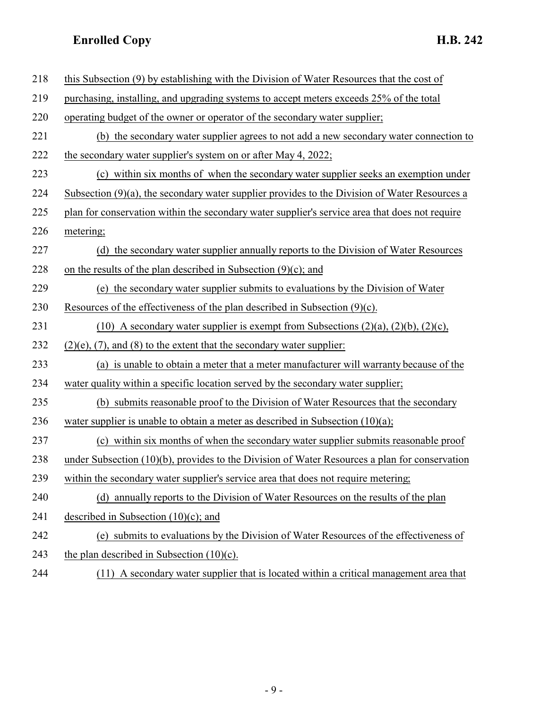| 218 | this Subsection (9) by establishing with the Division of Water Resources that the cost of        |
|-----|--------------------------------------------------------------------------------------------------|
| 219 | purchasing, installing, and upgrading systems to accept meters exceeds 25% of the total          |
| 220 | operating budget of the owner or operator of the secondary water supplier;                       |
| 221 | (b) the secondary water supplier agrees to not add a new secondary water connection to           |
| 222 | the secondary water supplier's system on or after May 4, 2022;                                   |
| 223 | (c) within six months of when the secondary water supplier seeks an exemption under              |
| 224 | Subsection $(9)(a)$ , the secondary water supplier provides to the Division of Water Resources a |
| 225 | plan for conservation within the secondary water supplier's service area that does not require   |
| 226 | metering;                                                                                        |
| 227 | (d) the secondary water supplier annually reports to the Division of Water Resources             |
| 228 | on the results of the plan described in Subsection $(9)(c)$ ; and                                |
| 229 | (e) the secondary water supplier submits to evaluations by the Division of Water                 |
| 230 | Resources of the effectiveness of the plan described in Subsection $(9)(c)$ .                    |
| 231 | (10) A secondary water supplier is exempt from Subsections $(2)(a)$ , $(2)(b)$ , $(2)(c)$ ,      |
| 232 | $(2)(e)$ , $(7)$ , and $(8)$ to the extent that the secondary water supplier:                    |
| 233 | (a) is unable to obtain a meter that a meter manufacturer will warranty because of the           |
| 234 | water quality within a specific location served by the secondary water supplier;                 |
| 235 | (b) submits reasonable proof to the Division of Water Resources that the secondary               |
| 236 | water supplier is unable to obtain a meter as described in Subsection $(10)(a)$ ;                |
| 237 | (c) within six months of when the secondary water supplier submits reasonable proof              |
| 238 | under Subsection (10)(b), provides to the Division of Water Resources a plan for conservation    |
| 239 | within the secondary water supplier's service area that does not require metering;               |
| 240 | (d) annually reports to the Division of Water Resources on the results of the plan               |
| 241 | described in Subsection $(10)(c)$ ; and                                                          |
| 242 | (e) submits to evaluations by the Division of Water Resources of the effectiveness of            |
| 243 | the plan described in Subsection $(10)(c)$ .                                                     |
| 244 | (11) A secondary water supplier that is located within a critical management area that           |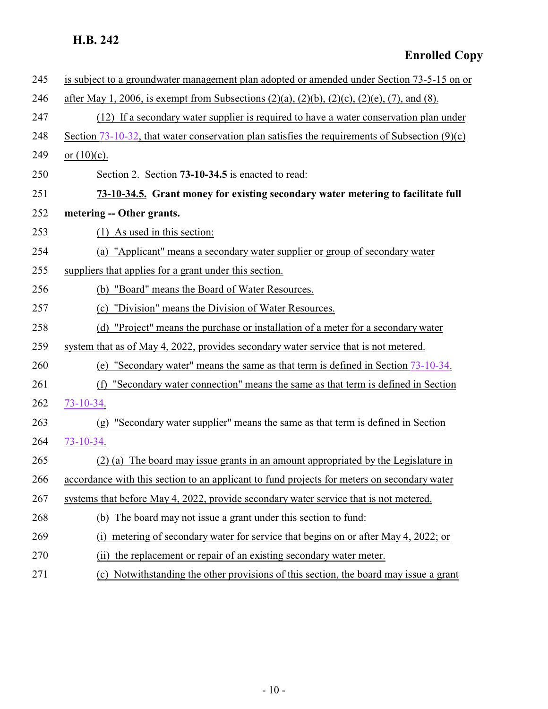<span id="page-9-0"></span>

| 245 | is subject to a groundwater management plan adopted or amended under Section 73-5-15 on or                    |
|-----|---------------------------------------------------------------------------------------------------------------|
| 246 | after May 1, 2006, is exempt from Subsections $(2)(a)$ , $(2)(b)$ , $(2)(c)$ , $(2)(e)$ , $(7)$ , and $(8)$ . |
| 247 | (12) If a secondary water supplier is required to have a water conservation plan under                        |
| 248 | Section 73-10-32, that water conservation plan satisfies the requirements of Subsection $(9)(c)$              |
| 249 | or $(10)(c)$ .                                                                                                |
| 250 | Section 2. Section 73-10-34.5 is enacted to read:                                                             |
| 251 | 73-10-34.5. Grant money for existing secondary water metering to facilitate full                              |
| 252 | metering -- Other grants.                                                                                     |
| 253 | $(1)$ As used in this section:                                                                                |
| 254 | (a) "Applicant" means a secondary water supplier or group of secondary water                                  |
| 255 | suppliers that applies for a grant under this section.                                                        |
| 256 | (b) "Board" means the Board of Water Resources.                                                               |
| 257 | "Division" means the Division of Water Resources.<br>(c)                                                      |
| 258 | "Project" means the purchase or installation of a meter for a secondary water<br>(d)                          |
| 259 | system that as of May 4, 2022, provides secondary water service that is not metered.                          |
| 260 | "Secondary water" means the same as that term is defined in Section 73-10-34.<br>(e)                          |
| 261 | "Secondary water connection" means the same as that term is defined in Section<br>(f)                         |
| 262 | $73 - 10 - 34.$                                                                                               |
| 263 | "Secondary water supplier" means the same as that term is defined in Section<br>(g)                           |
| 264 | 73-10-34.                                                                                                     |
| 265 | (2) (a) The board may issue grants in an amount appropriated by the Legislature in                            |
| 266 | accordance with this section to an applicant to fund projects for meters on secondary water                   |
| 267 | systems that before May 4, 2022, provide secondary water service that is not metered.                         |
| 268 | The board may not issue a grant under this section to fund:<br>(b)                                            |
| 269 | metering of secondary water for service that begins on or after May 4, 2022; or<br>(1)                        |
| 270 | the replacement or repair of an existing secondary water meter.<br>(i)                                        |
| 271 | Notwithstanding the other provisions of this section, the board may issue a grant<br>(c)                      |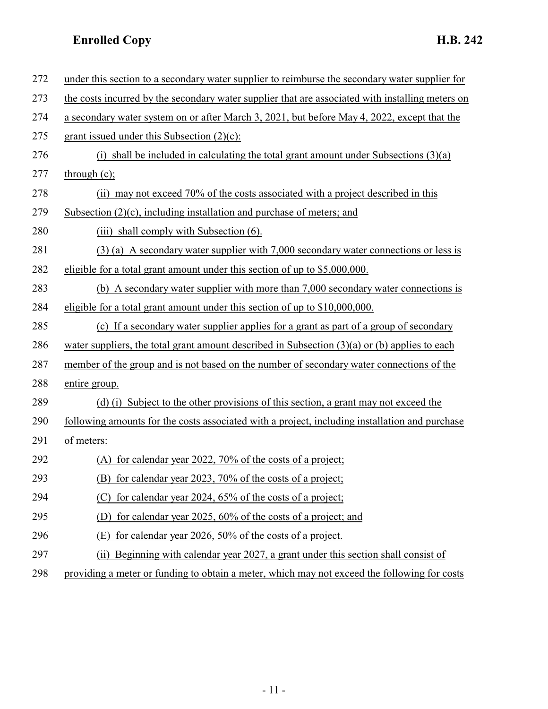| 272 | under this section to a secondary water supplier to reimburse the secondary water supplier for   |
|-----|--------------------------------------------------------------------------------------------------|
| 273 | the costs incurred by the secondary water supplier that are associated with installing meters on |
| 274 | a secondary water system on or after March 3, 2021, but before May 4, 2022, except that the      |
| 275 | grant issued under this Subsection $(2)(c)$ :                                                    |
| 276 | (i) shall be included in calculating the total grant amount under Subsections $(3)(a)$           |
| 277 | through $(c)$ ;                                                                                  |
| 278 | (ii) may not exceed 70% of the costs associated with a project described in this                 |
| 279 | Subsection $(2)(c)$ , including installation and purchase of meters; and                         |
| 280 | (iii) shall comply with Subsection (6).                                                          |
| 281 | $(3)$ (a) A secondary water supplier with 7,000 secondary water connections or less is           |
| 282 | eligible for a total grant amount under this section of up to \$5,000,000.                       |
| 283 | (b) A secondary water supplier with more than 7,000 secondary water connections is               |
| 284 | eligible for a total grant amount under this section of up to \$10,000,000.                      |
| 285 | (c) If a secondary water supplier applies for a grant as part of a group of secondary            |
| 286 | water suppliers, the total grant amount described in Subsection $(3)(a)$ or (b) applies to each  |
| 287 | member of the group and is not based on the number of secondary water connections of the         |
| 288 | entire group.                                                                                    |
| 289 | (d) (i) Subject to the other provisions of this section, a grant may not exceed the              |
| 290 | following amounts for the costs associated with a project, including installation and purchase   |
| 291 | of meters:                                                                                       |
| 292 | (A) for calendar year 2022, 70% of the costs of a project;                                       |
| 293 | for calendar year 2023, 70% of the costs of a project;<br>(B)                                    |
| 294 | for calendar year 2024, 65% of the costs of a project;<br>(C                                     |
| 295 | for calendar year 2025, 60% of the costs of a project; and<br>(D)                                |
| 296 | for calendar year 2026, 50% of the costs of a project.<br>(E)                                    |
| 297 | Beginning with calendar year 2027, a grant under this section shall consist of<br>(i)            |
|     |                                                                                                  |

298 providing a meter or funding to obtain a meter, which may not exceed the following for costs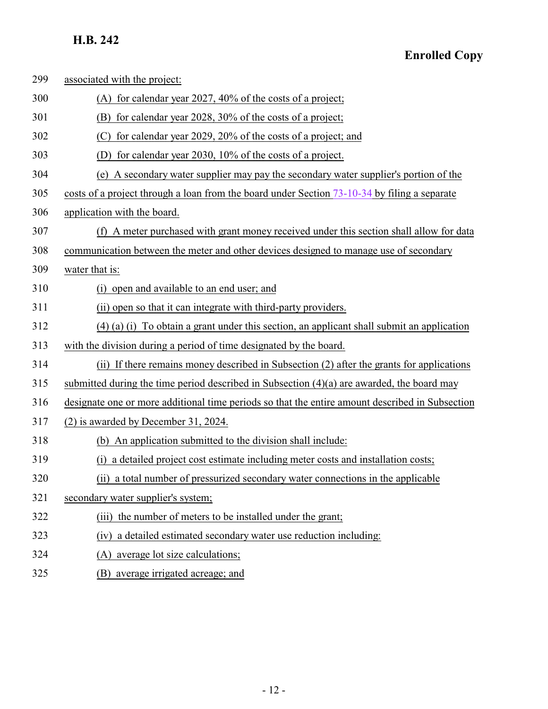| 299 | associated with the project:                                                                    |
|-----|-------------------------------------------------------------------------------------------------|
| 300 | (A) for calendar year 2027, $40\%$ of the costs of a project;                                   |
| 301 | (B) for calendar year 2028, 30% of the costs of a project;                                      |
| 302 | for calendar year 2029, 20% of the costs of a project; and<br>(C)                               |
| 303 | (D) for calendar year 2030, 10% of the costs of a project.                                      |
| 304 | (e) A secondary water supplier may pay the secondary water supplier's portion of the            |
| 305 | costs of a project through a loan from the board under Section $73-10-34$ by filing a separate  |
| 306 | application with the board.                                                                     |
| 307 | (f) A meter purchased with grant money received under this section shall allow for data         |
| 308 | communication between the meter and other devices designed to manage use of secondary           |
| 309 | water that is:                                                                                  |
| 310 | open and available to an end user; and<br>(i)                                                   |
| 311 | (ii) open so that it can integrate with third-party providers.                                  |
| 312 | $(4)$ (a) (i) To obtain a grant under this section, an applicant shall submit an application    |
| 313 | with the division during a period of time designated by the board.                              |
| 314 | (ii) If there remains money described in Subsection (2) after the grants for applications       |
| 315 | submitted during the time period described in Subsection (4)(a) are awarded, the board may      |
| 316 | designate one or more additional time periods so that the entire amount described in Subsection |
| 317 | (2) is awarded by December 31, 2024.                                                            |
| 318 | (b) An application submitted to the division shall include:                                     |
| 319 | a detailed project cost estimate including meter costs and installation costs;<br>(i)           |
| 320 | (ii) a total number of pressurized secondary water connections in the applicable                |
| 321 | secondary water supplier's system;                                                              |
| 322 | the number of meters to be installed under the grant;<br>(iii)                                  |
| 323 | a detailed estimated secondary water use reduction including:<br>(iv)                           |
| 324 | (A) average lot size calculations;                                                              |
| 325 | (B) average irrigated acreage; and                                                              |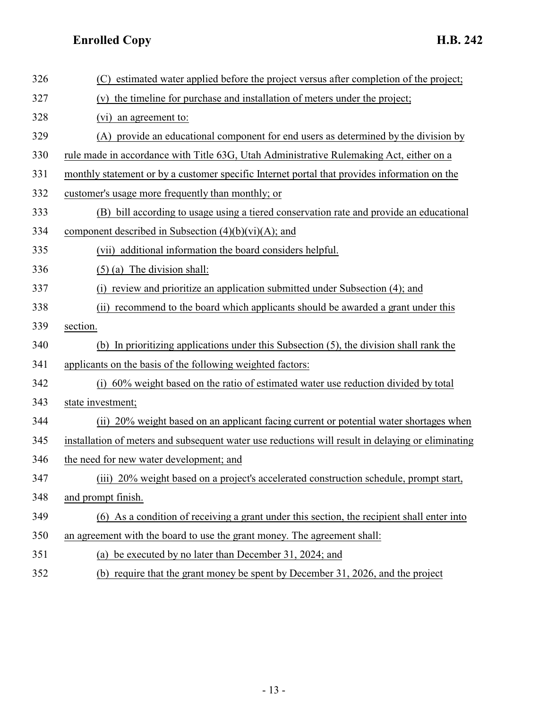| 326 | estimated water applied before the project versus after completion of the project;<br>(C)         |
|-----|---------------------------------------------------------------------------------------------------|
| 327 | (v) the timeline for purchase and installation of meters under the project;                       |
| 328 | (vi)<br>an agreement to:                                                                          |
| 329 | (A) provide an educational component for end users as determined by the division by               |
| 330 | rule made in accordance with Title 63G, Utah Administrative Rulemaking Act, either on a           |
| 331 | monthly statement or by a customer specific Internet portal that provides information on the      |
| 332 | customer's usage more frequently than monthly; or                                                 |
| 333 | (B) bill according to usage using a tiered conservation rate and provide an educational           |
| 334 | component described in Subsection $(4)(b)(vi)(A)$ ; and                                           |
| 335 | (vii) additional information the board considers helpful.                                         |
| 336 | $(5)$ (a) The division shall:                                                                     |
| 337 | (i) review and prioritize an application submitted under Subsection (4); and                      |
| 338 | recommend to the board which applicants should be awarded a grant under this<br>(i)               |
| 339 | section.                                                                                          |
| 340 | (b) In prioritizing applications under this Subsection $(5)$ , the division shall rank the        |
| 341 | applicants on the basis of the following weighted factors:                                        |
| 342 | 60% weight based on the ratio of estimated water use reduction divided by total<br>(i)            |
| 343 | state investment;                                                                                 |
| 344 | (ii) 20% weight based on an applicant facing current or potential water shortages when            |
| 345 | installation of meters and subsequent water use reductions will result in delaying or eliminating |
| 346 | the need for new water development; and                                                           |
| 347 | (iii) 20% weight based on a project's accelerated construction schedule, prompt start,            |
| 348 | and prompt finish.                                                                                |
| 349 | (6) As a condition of receiving a grant under this section, the recipient shall enter into        |
| 350 | an agreement with the board to use the grant money. The agreement shall:                          |
| 351 | (a) be executed by no later than December 31, 2024; and                                           |
| 352 | (b) require that the grant money be spent by December 31, 2026, and the project                   |